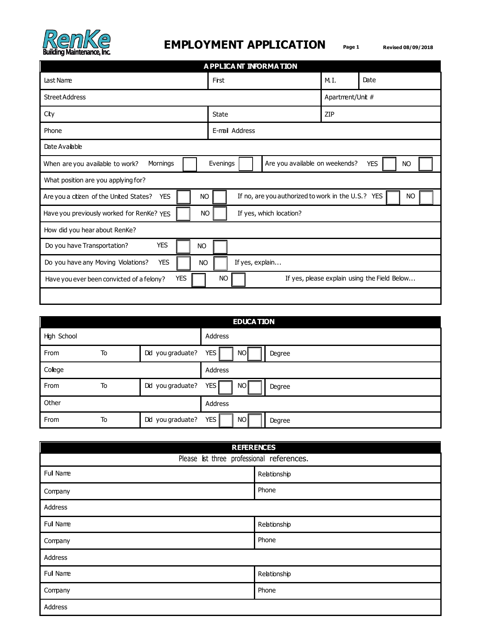

## **EMPLOYMENT APPLICATION Page 1 Revised 08/09/2018**

| A PPLICA NT INFORMATION                                            |      |                |                 |                                                           |                                                    |                  |                                              |  |
|--------------------------------------------------------------------|------|----------------|-----------------|-----------------------------------------------------------|----------------------------------------------------|------------------|----------------------------------------------|--|
| Last Name                                                          | Frst |                |                 |                                                           |                                                    | M.I.             | Date                                         |  |
| <b>Street Address</b>                                              |      |                |                 |                                                           |                                                    | Apartment/Unit # |                                              |  |
| City                                                               |      | State          |                 |                                                           |                                                    | <b>ZIP</b>       |                                              |  |
| Phone                                                              |      | E-mail Address |                 |                                                           |                                                    |                  |                                              |  |
| Date Avaiable                                                      |      |                |                 |                                                           |                                                    |                  |                                              |  |
| Mornings<br>When are you available to work?                        |      | Evenings       |                 | Are you available on weekends?<br><b>YES</b><br><b>NO</b> |                                                    |                  |                                              |  |
| What position are you applying for?                                |      |                |                 |                                                           |                                                    |                  |                                              |  |
| Are you a citizen of the United States?<br><b>YES</b><br><b>NO</b> |      |                |                 |                                                           | If no, are you authorized to work in the U.S.? YES |                  | NO                                           |  |
| Have you previously worked for RenKe? YES<br><b>NO</b>             |      |                |                 |                                                           | If yes, which location?                            |                  |                                              |  |
| How did you hear about RenKe?                                      |      |                |                 |                                                           |                                                    |                  |                                              |  |
| <b>YES</b><br>Do you have Transportation?<br><b>NO</b>             |      |                |                 |                                                           |                                                    |                  |                                              |  |
| Do you have any Moving Violations?<br><b>YES</b><br><b>NO</b>      |      |                | If yes, explain |                                                           |                                                    |                  |                                              |  |
| <b>YES</b><br>Have you ever been convicted of a felony?            |      | <b>NO</b>      |                 |                                                           |                                                    |                  | If yes, please explain using the Field Below |  |
|                                                                    |      |                |                 |                                                           |                                                    |                  |                                              |  |

| <b>EDUCA TION</b> |    |                   |                                   |  |
|-------------------|----|-------------------|-----------------------------------|--|
| High School       |    |                   | Address                           |  |
| From              | To | Did you graduate? | <b>YES</b><br><b>NO</b><br>Degree |  |
| College           |    |                   | Address                           |  |
| From              | To | Did you graduate? | <b>YES</b><br>NO I<br>Degree      |  |
| Other             |    |                   | Address                           |  |
| From              | To | Did you graduate? | <b>YES</b><br>NO I<br>Degree      |  |

| <b>REFERENCES</b>                          |              |  |  |
|--------------------------------------------|--------------|--|--|
| Please list three professional references. |              |  |  |
| Full Name                                  | Relationship |  |  |
| Company                                    | Phone        |  |  |
| Address                                    |              |  |  |
| Full Name                                  | Relationship |  |  |
| Company                                    | Phone        |  |  |
| Address                                    |              |  |  |
| Full Name                                  | Relationship |  |  |
| Company                                    | Phone        |  |  |
| Address                                    |              |  |  |